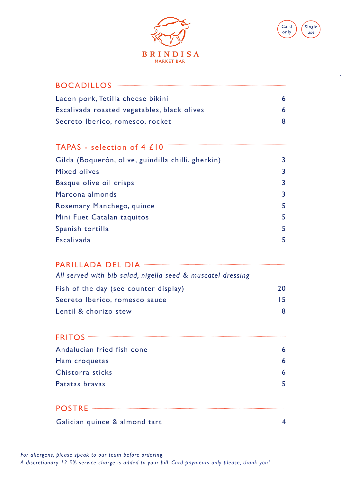



Jamón ibérico de bellota, Extremadura 22

### BOCADILLOS

| Lacon pork, Tetilla cheese bikini           |  |
|---------------------------------------------|--|
| Escalivada roasted vegetables, black olives |  |
| Secreto Iberico, romesco, rocket            |  |

## TAPAS - selection of 4 £10

| Gilda (Boquerón, olive, guindilla chilli, gherkin) | 3  |
|----------------------------------------------------|----|
| <b>Mixed olives</b>                                | 3  |
| Basque olive oil crisps                            | 3  |
| Marcona almonds                                    | 3  |
| Rosemary Manchego, quince                          | 5. |
| Mini Fuet Catalan taquitos                         | 5. |
| Spanish tortilla                                   | 5. |
| Escalivada                                         | 5  |
|                                                    |    |

#### PARILLADA DEL DIA

| All served with bib salad, nigella seed & muscatel dressing |    |
|-------------------------------------------------------------|----|
| Fish of the day (see counter display)                       | 20 |
| Secreto Iberico, romesco sauce                              | 15 |
| Lentil & chorizo stew                                       | 8  |

# Andalucian fried fish cone 6 Ham croquetas 6 Chistorra sticks 6 Patatas bravas 5 FRITOS **External Structure of the Contract Oriental Structure of the Contract Oriental Structure of the Contract Oriental Structure of the Contract Oriental Structure of the Contract Oriental Structure of the Contract Orie**

#### POSTRE

Galician quince & almond tart 4